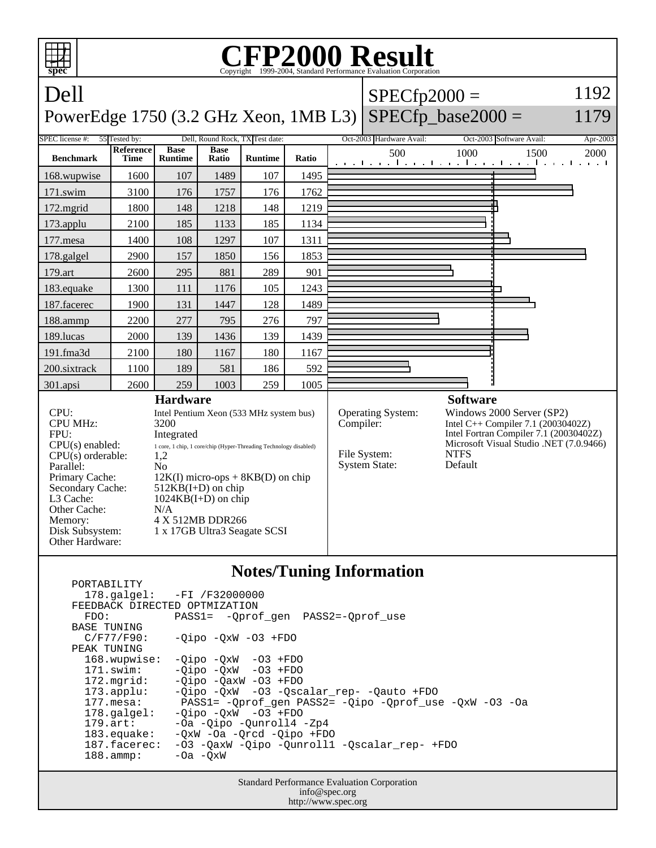

## **Notes/Tuning Information**

| PORTABILITY                   |                                                                |
|-------------------------------|----------------------------------------------------------------|
|                               | 178.galgel: -FI /F32000000                                     |
| FEEDBACK DIRECTED OPTMIZATION |                                                                |
| FDO:                          | PASS1= -Oprof gen PASS2=-Oprof use                             |
| <b>BASE TUNING</b>            |                                                                |
| C/F77/F90:                    | $-Oipo$ $-OxW$ $-O3$ $+FDO$                                    |
| PEAK TUNING                   |                                                                |
| $168.$ wupwise:               | $-Oipo -QxW -O3 + FDO$                                         |
| $171$ .swim:                  | $-Oipo$ $-OxW$ $-O3$ $+FDO$                                    |
| $172.\text{mgrid}:$           | $-Oipo$ $-OaxW$ $-O3$ $+FDO$                                   |
| $173.\text{applu}:$           | -Qipo -QxW -03 -Qscalar_rep- -Qauto +FDO                       |
| 177.mesa:                     | $PASS1 = -Oprof$ gen $PASS2 = -Qipo$ -Oprof use $-0xW$ -O3 -Oa |
| $178.\text{qalgel}$ :         | $-Oipo$ $-OxW$ $-O3$ $+FDO$                                    |
| $179.\arct:$                  | -Oa -Oipo -Ounroll4 -Zp4                                       |
| $183.\n$ equake:              | $-0xW$ $-0a$ $-0rcd$ $-0ipo$ $+FDO$                            |
| 187.facerec:                  | -03 -OaxW -Oipo -Ounroll1 -Oscalar rep- +FDO                   |
| $188.\text{amp}:$             | $-0a$ $-0xW$                                                   |
|                               |                                                                |

Standard Performance Evaluation Corporation info@spec.org http://www.spec.org